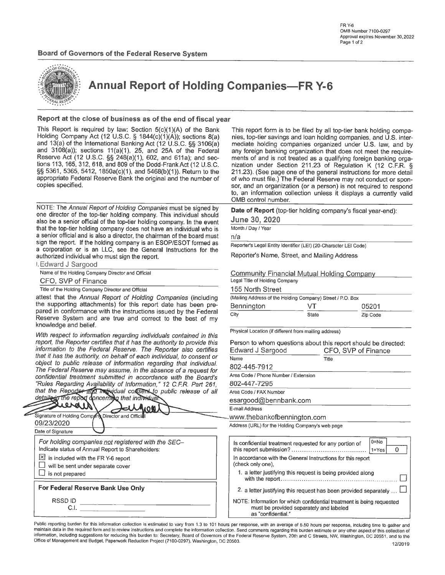# Board of Governors of the Federal Reserve System





**Annual Report of Holding Companies-FR Y-6** 

### Report at the close of business as of the end of fiscal year

This Report is required by law: Section 5(c)(1)(A) of the Bank Holding Company Act (12 U.S.C. § 1844(c)(1)(A)); sections 8(a) and 13(a) of the International Banking Act (12 U.S.C. §§ 3106(a) and 3108(a)); sections 11(a)(1), 25, and 25A of the Federal Reserve Act (12 U.S.C. §§ 248(a)(1), 602, and 611a); and sections 113, 165, 312, 618, and 809 of the Dodd-Frank Act (12 U.S.C. §§ 5361, 5365, 5412, 1850a(c)(1), and 5468(b)(1)). Return to the appropriate Federal Reserve Bank the original and the number of copies specified.

NOTE: The Annual Report of Holding Companies must be signed by one director of the top-tier holding company. This individual should also be a senior official of the top-tier holding company. In the event that the top-tier holding company does not have an individual who is a senior official and is also a director, the chairman of the board must sign the report. If the holding company is an ESOP/ESOT formed as a corporation or is an LLC, see the General Instructions for the authorized individual who must sign the report.

I. Edward J Sargood

Ź

Name of the Holding Company Director and Official

CFO, SVP of Finance

Title of the Holding Company Director and Official

attest that the Annual Report of Holding Companies (including the supporting attachments) for this report date has been prepared in conformance with the instructions issued by the Federal Reserve System and are true and correct to the best of my knowledge and belief.

With respect to information regarding individuals contained in this report, the Reporter certifies that it has the authority to provide this information to the Federal Reserve. The Reporter also certifies that it has the authority, on behalf of each individual, to consent or object to public release of information regarding that individual. The Federal Reserve may assume, in the absence of a request for confidential treatment submitted in accordance with the Board's "Rules Regarding Availability of Information," 12 C.F.R. Part 261, that the Reporter and Instructual consent to public release of all<br>detaile-in the report doncerning that individual

|                                                                                                                                                                                                       | Signature of Holding Company Director and Official<br>09/23/2020<br>Date of Signature |  |  |  |  |  |  |
|-------------------------------------------------------------------------------------------------------------------------------------------------------------------------------------------------------|---------------------------------------------------------------------------------------|--|--|--|--|--|--|
| For holding companies not registered with the SEC-<br>Indicate status of Annual Report to Shareholders:<br>is included with the FR Y-6 report<br>will be sent under separate cover<br>is not prepared |                                                                                       |  |  |  |  |  |  |
|                                                                                                                                                                                                       | For Federal Reserve Bank Use Only                                                     |  |  |  |  |  |  |
|                                                                                                                                                                                                       | RSSD ID                                                                               |  |  |  |  |  |  |

This report form is to be filed by all top-tier bank holding companies, top-tier savings and loan holding companies, and U.S. intermediate holding companies organized under U.S. law, and by any foreign banking organization that does not meet the requirements of and is not treated as a qualifying foreign banking organization under Section 211.23 of Regulation K (12 C.F.R. § 211.23). (See page one of the general instructions for more detail of who must file.) The Federal Reserve may not conduct or sponsor, and an organization (or a person) is not required to respond to, an information collection unless it displays a currently valid OMB control number.

Date of Report (top-tier holding company's fiscal year-end):

### June 30, 2020

Month / Day / Year

 $n/a$ 

Reporter's Legal Entity Identifier (LEI) (20-Character LEI Code)

Reporter's Name, Street, and Mailing Address

### **Community Financial Mutual Holding Company**

Legal Title of Holding Company 155 North Street

| 1991191111911961                                           |       |          |  |  |  |  |  |  |
|------------------------------------------------------------|-------|----------|--|--|--|--|--|--|
| (Mailing Address of the Holding Company) Street / P.O. Box |       |          |  |  |  |  |  |  |
| Bennington                                                 | VТ    | 05201    |  |  |  |  |  |  |
| City                                                       | State | Zip Code |  |  |  |  |  |  |

Physical Location (if different from mailing address)

Person to whom questions about this report should be directed:

| Edward J Sargood                                       | CFO, SVP of Finance   |  |  |  |  |  |
|--------------------------------------------------------|-----------------------|--|--|--|--|--|
| Name                                                   | Title                 |  |  |  |  |  |
| 802-445-7912                                           |                       |  |  |  |  |  |
| Area Code / Phone Number / Extension                   |                       |  |  |  |  |  |
| 802-447-7295                                           |                       |  |  |  |  |  |
| Area Code / FAX Number                                 |                       |  |  |  |  |  |
| esargood@bennbank.com                                  |                       |  |  |  |  |  |
| E-mail Address                                         |                       |  |  |  |  |  |
| www.thebankofbennington.com-                           |                       |  |  |  |  |  |
| Address (URL) for the Holding Company's web page       |                       |  |  |  |  |  |
| Is confidential treatment requested for any portion of | $0 = No$<br>$1 = Yes$ |  |  |  |  |  |

| 1=Yes                                                                                                                                  |
|----------------------------------------------------------------------------------------------------------------------------------------|
| In accordance with the General Instructions for this report<br>(check only one).                                                       |
| 1. a letter justifying this request is being provided along                                                                            |
| 2. a letter justifying this request has been provided separately $\dots \Box$                                                          |
| NOTE: Information for which confidential treatment is being requested<br>must be provided separately and labeled<br>as "confidential." |

Public reporting burden for this information collection is estimated to vary from 1.3 to 101 hours per response, with an average of 5.50 hours per response, including time to gather and maintain data in the required form and to review instructions and complete the information collection. Send comments regarding this burden estimate or any other aspect of this collection of information, including suggestions for reducing this burden to: Secretary, Board of Governors of the Federal Reserve System, 20th and C Streets, NW, Washington, DC 20551, and to the Office of Management and Budget, Paperwork Reduction Project (7100-0297), Washington, DC 20503.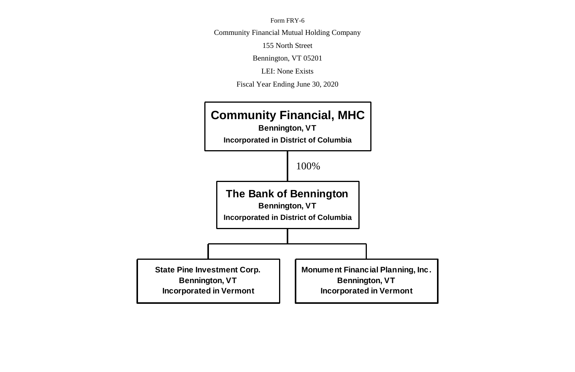Form FRY-6

Community Financial Mutual Holding Company

155 North Street

Bennington, VT 05201

LEI: None Exists

Fiscal Year Ending June 30, 2020

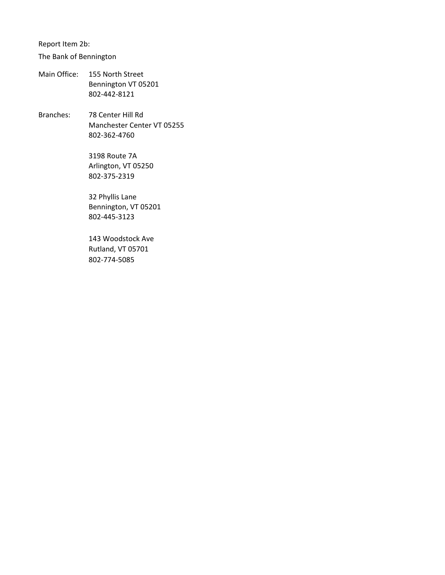Report Item 2b:

The Bank of Bennington

- Main Office: 155 North Street Bennington VT 05201 802-442-8121
- Branches: 78 Center Hill Rd Manchester Center VT 05255 802-362-4760

3198 Route 7A Arlington, VT 05250 802-375-2319

32 Phyllis Lane Bennington, VT 05201 802-445-3123

143 Woodstock Ave Rutland, VT 05701 802-774-5085